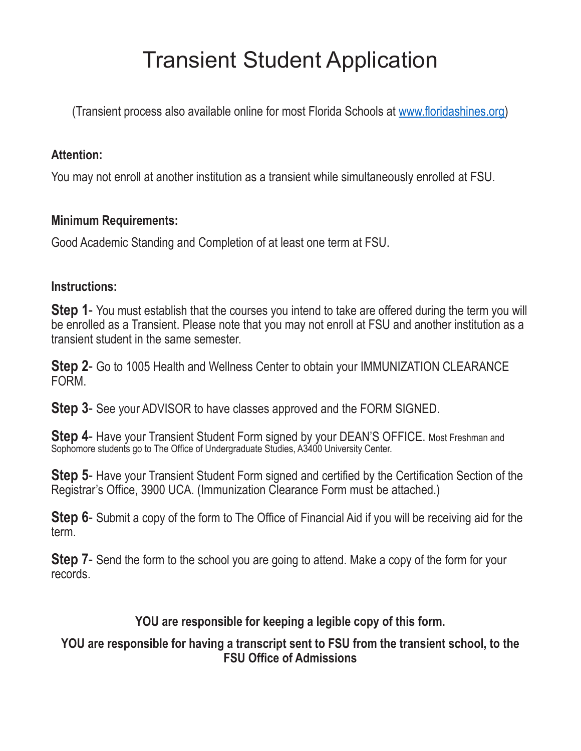# Transient Student Application

(Transient process also available online for most Florida Schools at www.floridashines.org)

## **Attention:**

You may not enroll at another institution as a transient while simultaneously enrolled at FSU.

## **Minimum Requirements:**

Good Academic Standing and Completion of at least one term at FSU.

#### **Instructions:**

**Step 1**- You must establish that the courses you intend to take are offered during the term you will be enrolled as a Transient. Please note that you may not enroll at FSU and another institution as a transient student in the same semester.

**Step 2**- Go to 1005 Health and Wellness Center to obtain your IMMUNIZATION CLEARANCE FORM.

**Step 3**- See your ADVISOR to have classes approved and the FORM SIGNED.

**Step 4- Have your Transient Student Form signed by your DEAN'S OFFICE. Most Freshman and** Sophomore students go to The Office of Undergraduate Studies, A3400 University Center.

**Step 5**- Have your Transient Student Form signed and certified by the Certification Section of the Registrar's Office, 3900 UCA. (Immunization Clearance Form must be attached.)

**Step 6**- Submit a copy of the form to The Office of Financial Aid if you will be receiving aid for the term.

**Step 7**- Send the form to the school you are going to attend. Make a copy of the form for your records.

# **YOU are responsible for keeping a legible copy of this form.**

## **YOU are responsible for having a transcript sent to FSU from the transient school, to the FSU Office of Admissions**